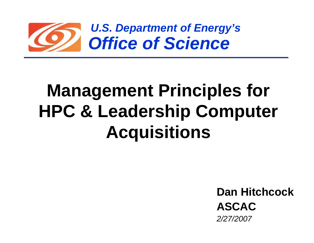

# **Management Principles for HPC & Leadership Computer Acquisitions**

**Dan HitchcockASCAC***2/27/2007*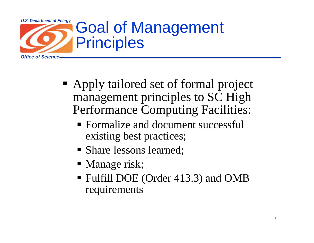

- Apply tailored set of formal project management principles to SC High Performance Computing Facilities:
	- **Formalize and document successful** existing best practices;
	- Share lessons learned;
	- **Manage risk;**
	- Fulfill DOE (Order 413.3) and OMB requirements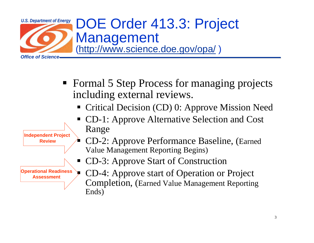

Ends)



Completion, (Earned Value Management Reporting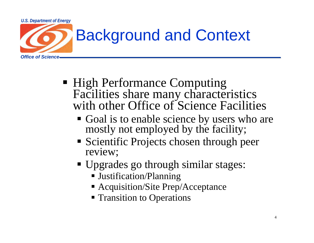

- High Performance Computing Facilities share many characteristics<br>with other Office of Science Facilities
	- Goal is to enable science by users who are mostly not employed by the facility;
	- **Scientific Projects chosen through peer** review;
	- Upgrades go through similar stages:
		- Justification/Planning
		- Acquisition/Site Prep/Acceptance
		- **Transition to Operations**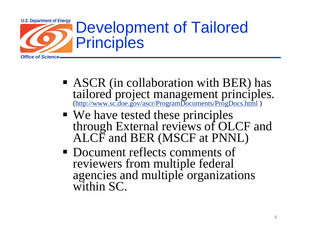

- **ASCR** (in collaboration with BER) has tailored project management principles. (http://www.sc<del>.doe.gov/ascr/ProgramDocuments/ProgDocs.html</del>)
- We have tested these principles through External reviews of OLCF and<br>ALCF and BER (MSCF at PNNL)
- Document reflects comments of reviewers from multiple federal agencies and multiple organizations within SC.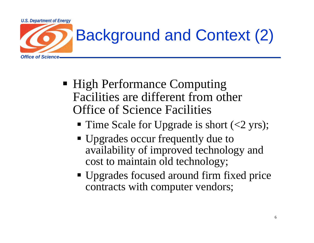

## Background and Context (2)

- **High Performance Computing** Facilities are different from other Office of Science Facilities
	- Time Scale for Upgrade is short (<2 yrs);
	- Upgrades occur frequently due to availability of improved technology and cost to maintain old technology;
	- Upgrades focused around firm fixed price contracts with computer vendors;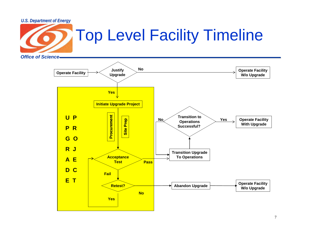

### Top Level Facility Timeline

*Office of Science*

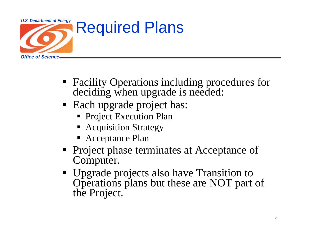

- Facility Operations including procedures for deciding when upgrade is needed:
- Each upgrade project has:
	- **Project Execution Plan**
	- **Acquisition Strategy**
	- Acceptance Plan
- **Project phase terminates at Acceptance of** Computer.
- Upgrade projects also have Transition to Operations plans but these are NOT part of the Project.